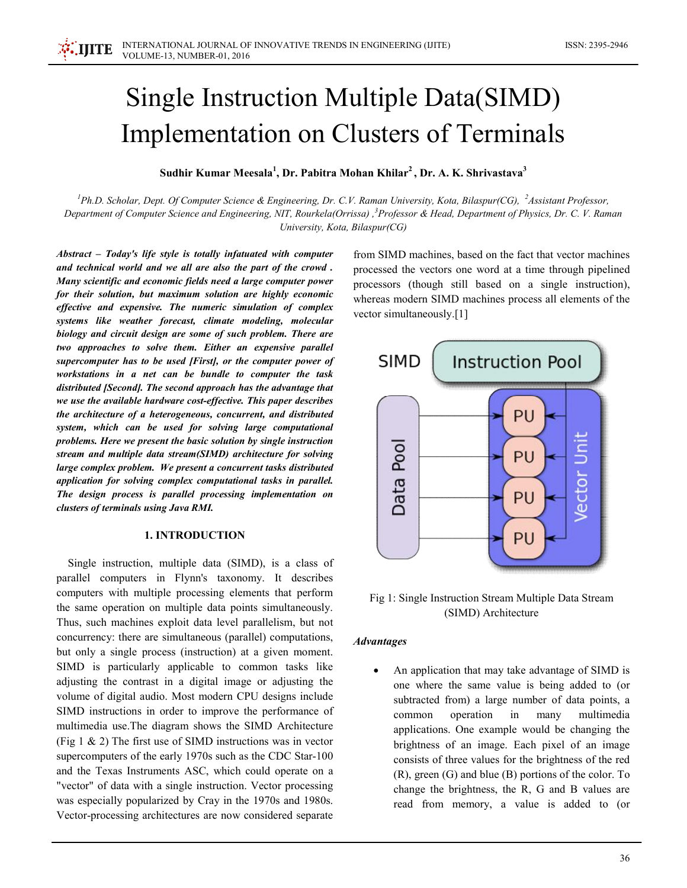# **Single Instruction Multiple Data(SIMD)** Implementation on Clusters of Terminals

Sudhir Kumar Meesala<sup>1</sup>, Dr. Pabitra Mohan Khilar<sup>2</sup>, Dr. A. K. Shrivastava<sup>3</sup>

<sup>1</sup>Ph.D. Scholar, Dept. Of Computer Science & Engineering, Dr. C.V. Raman University, Kota, Bilaspur(CG), <sup>2</sup>Assistant Professor, Department of Computer Science and Engineering, NIT, Rourkela(Orrissa),<sup>3</sup>Professor & Head, Department of Physics, Dr. C. V. Raman University, Kota, Bilaspur(CG)

Abstract - Today's life style is totally infatuated with computer and technical world and we all are also the part of the crowd. Many scientific and economic fields need a large computer power for their solution, but maximum solution are highly economic effective and expensive. The numeric simulation of complex systems like weather forecast, climate modeling, molecular biology and circuit design are some of such problem. There are two approaches to solve them. Either an expensive parallel supercomputer has to be used [First], or the computer power of workstations in a net can be bundle to computer the task distributed [Second]. The second approach has the advantage that we use the available hardware cost-effective. This paper describes the architecture of a heterogeneous, concurrent, and distributed system, which can be used for solving large computational problems. Here we present the basic solution by single instruction stream and multiple data stream(SIMD) architecture for solving large complex problem. We present a concurrent tasks distributed application for solving complex computational tasks in parallel. The design process is parallel processing implementation on clusters of terminals using Java RMI.

#### 1. INTRODUCTION

Single instruction, multiple data (SIMD), is a class of parallel computers in Flynn's taxonomy. It describes computers with multiple processing elements that perform the same operation on multiple data points simultaneously. Thus, such machines exploit data level parallelism, but not concurrency: there are simultaneous (parallel) computations, but only a single process (instruction) at a given moment. SIMD is particularly applicable to common tasks like adjusting the contrast in a digital image or adjusting the volume of digital audio. Most modern CPU designs include SIMD instructions in order to improve the performance of multimedia use. The diagram shows the SIMD Architecture (Fig  $1 \& 2$ ) The first use of SIMD instructions was in vector supercomputers of the early 1970s such as the CDC Star-100 and the Texas Instruments ASC, which could operate on a "vector" of data with a single instruction. Vector processing was especially popularized by Cray in the 1970s and 1980s. Vector-processing architectures are now considered separate from SIMD machines, based on the fact that vector machines processed the vectors one word at a time through pipelined processors (though still based on a single instruction), whereas modern SIMD machines process all elements of the vector simultaneously.[1]



Fig 1: Single Instruction Stream Multiple Data Stream (SIMD) Architecture

#### **Advantages**

An application that may take advantage of SIMD is one where the same value is being added to (or subtracted from) a large number of data points, a common operation in many multimedia applications. One example would be changing the brightness of an image. Each pixel of an image consists of three values for the brightness of the red  $(R)$ , green  $(G)$  and blue  $(B)$  portions of the color. To change the brightness, the R, G and B values are read from memory, a value is added to (or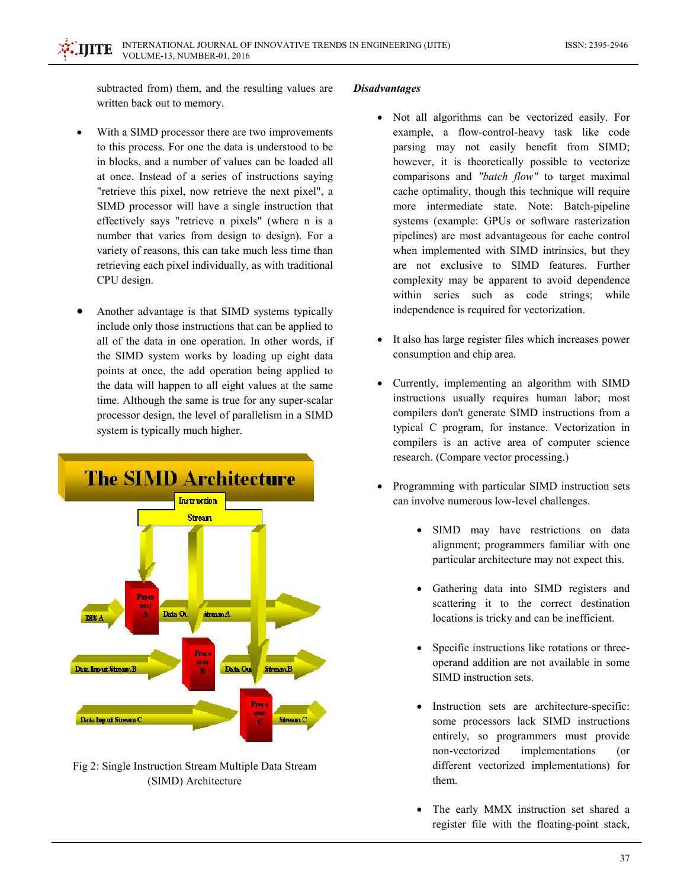subtracted from) them, and the resulting values are written back out to memory.

- With a SIMD processor there are two improvements to this process. For one the data is understood to be in blocks, and a number of values can be loaded all at once. Instead of a series of instructions saying "retrieve this pixel, now retrieve the next pixel", a SIMD processor will have a single instruction that effectively says "retrieve n pixels" (where n is a number that varies from design to design). For a variety of reasons, this can take much less time than retrieving each pixel individually, as with traditional CPU design.
- Another advantage is that SIMD systems typically include only those instructions that can be applied to all of the data in one operation. In other words, if the SIMD system works by loading up eight data points at once, the add operation being applied to the data will happen to all eight values at the same time. Although the same is true for any super-scalar processor design, the level of parallelism in a SIMD system is typically much higher.



Fig 2: Single Instruction Stream Multiple Data Stream (SIMD) Architecture

#### **Disadvantages**

- Not all algorithms can be vectorized easily. For example, a flow-control-heavy task like code parsing may not easily benefit from SIMD; however, it is theoretically possible to vectorize comparisons and "batch flow" to target maximal cache optimality, though this technique will require more intermediate state. Note: Batch-pipeline systems (example: GPUs or software rasterization pipelines) are most advantageous for cache control when implemented with SIMD intrinsics, but they are not exclusive to SIMD features. Further complexity may be apparent to avoid dependence within series such as code strings; while independence is required for vectorization.
- It also has large register files which increases power consumption and chip area.
- Currently, implementing an algorithm with SIMD instructions usually requires human labor; most compilers don't generate SIMD instructions from a typical C program, for instance. Vectorization in compilers is an active area of computer science research. (Compare vector processing.)
- Programming with particular SIMD instruction sets can involve numerous low-level challenges.
	- · SIMD may have restrictions on data alignment; programmers familiar with one particular architecture may not expect this.
	- Gathering data into SIMD registers and  $\bullet$ scattering it to the correct destination locations is tricky and can be inefficient.
	- Specific instructions like rotations or threeoperand addition are not available in some SIMD instruction sets.
	- Instruction sets are architecture-specific:  $\bullet$ some processors lack SIMD instructions entirely, so programmers must provide non-vectorized implementations  $($ or different vectorized implementations) for them.
	- The early MMX instruction set shared a register file with the floating-point stack,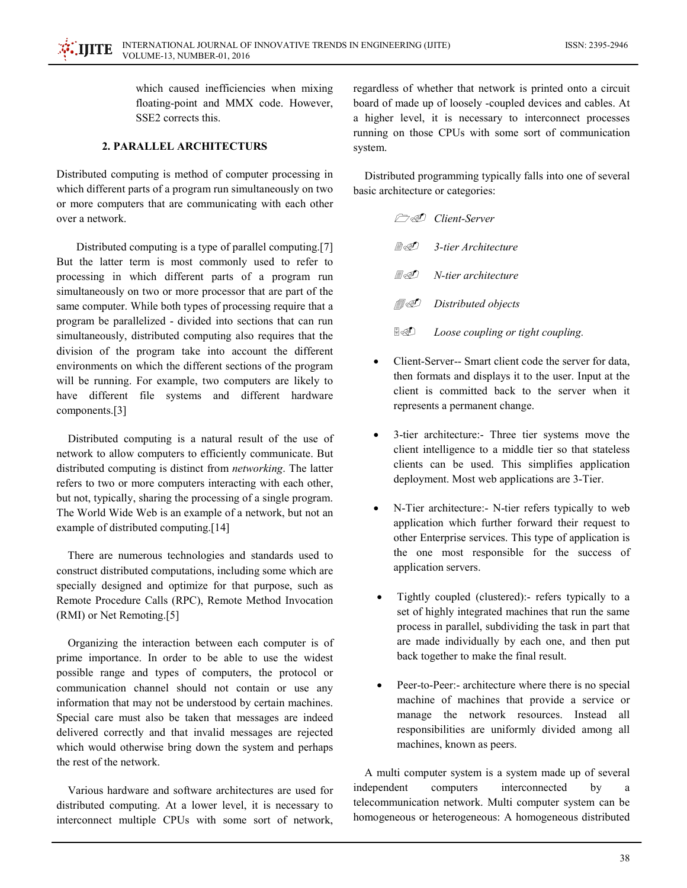which caused inefficiencies when mixing floating-point and MMX code. However, SSE2 corrects this.

# 2. PARALLEL ARCHITECTURS

Distributed computing is method of computer processing in which different parts of a program run simultaneously on two or more computers that are communicating with each other over a network.

Distributed computing is a type of parallel computing.[7] But the latter term is most commonly used to refer to processing in which different parts of a program run simultaneously on two or more processor that are part of the same computer. While both types of processing require that a program be parallelized - divided into sections that can run simultaneously, distributed computing also requires that the division of the program take into account the different environments on which the different sections of the program will be running. For example, two computers are likely to have different file systems and different hardware components.[3]

Distributed computing is a natural result of the use of network to allow computers to efficiently communicate. But distributed computing is distinct from *networking*. The latter refers to two or more computers interacting with each other, but not, typically, sharing the processing of a single program. The World Wide Web is an example of a network, but not an example of distributed computing.[14]

There are numerous technologies and standards used to construct distributed computations, including some which are specially designed and optimize for that purpose, such as Remote Procedure Calls (RPC), Remote Method Invocation (RMI) or Net Remoting.[5]

Organizing the interaction between each computer is of prime importance. In order to be able to use the widest possible range and types of computers, the protocol or communication channel should not contain or use any information that may not be understood by certain machines. Special care must also be taken that messages are indeed delivered correctly and that invalid messages are rejected which would otherwise bring down the system and perhaps the rest of the network.

Various hardware and software architectures are used for distributed computing. At a lower level, it is necessary to interconnect multiple CPUs with some sort of network, regardless of whether that network is printed onto a circuit board of made up of loosely -coupled devices and cables. At a higher level, it is necessary to interconnect processes running on those CPUs with some sort of communication system.

Distributed programming typically falls into one of several basic architecture or categories:

|                          | <i>FreD</i> Client-Server                      |
|--------------------------|------------------------------------------------|
| <i>∰≪D</i>               | 3-tier Architecture                            |
|                          | $\mathbb{R}$ $\otimes$ D – N-tier architecture |
|                          | $\mathbb{R}$ Distributed objects               |
| $\mathbb{F}^{\otimes n}$ | Loose coupling or tight coupling.              |

- Client-Server-- Smart client code the server for data. then formats and displays it to the user. Input at the client is committed back to the server when it represents a permanent change.
- 3-tier architecture:- Three tier systems move the  $\bullet$ client intelligence to a middle tier so that stateless clients can be used. This simplifies application deployment. Most web applications are 3-Tier.
- N-Tier architecture: N-tier refers typically to web application which further forward their request to other Enterprise services. This type of application is the one most responsible for the success of application servers.
- Tightly coupled (clustered):- refers typically to a set of highly integrated machines that run the same process in parallel, subdividing the task in part that are made individually by each one, and then put back together to make the final result.
- Peer-to-Peer:- architecture where there is no special  $\bullet$ machine of machines that provide a service or manage the network resources. Instead all responsibilities are uniformly divided among all machines, known as peers.

A multi computer system is a system made up of several independent computers interconnected bv a telecommunication network. Multi computer system can be homogeneous or heterogeneous: A homogeneous distributed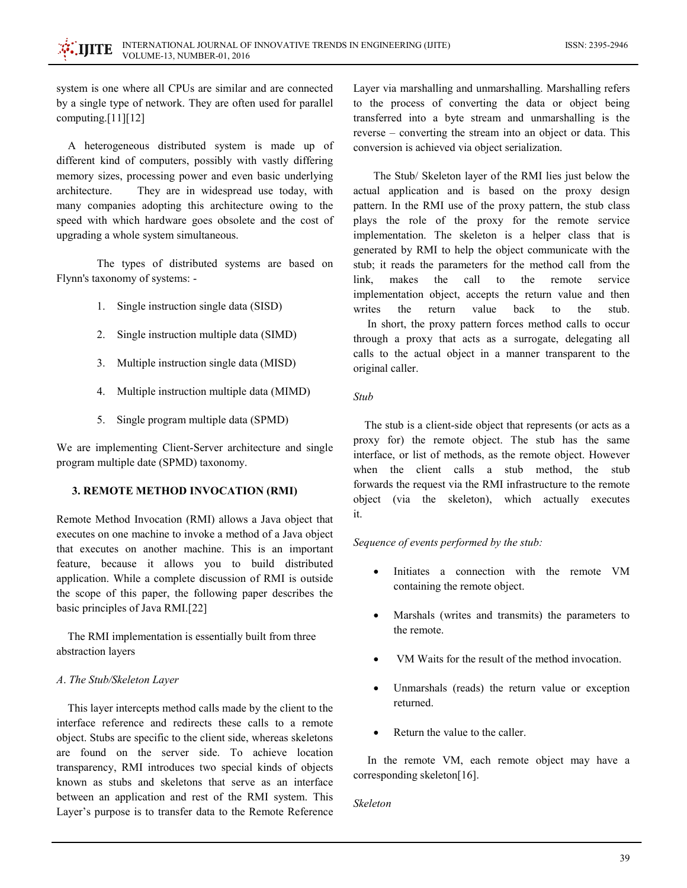ISSN: 2395-2946

system is one where all CPUs are similar and are connected by a single type of network. They are often used for parallel computing. $[11][12]$ 

A heterogeneous distributed system is made up of different kind of computers, possibly with vastly differing memory sizes, processing power and even basic underlying architecture. They are in widespread use today, with many companies adopting this architecture owing to the speed with which hardware goes obsolete and the cost of upgrading a whole system simultaneous.

The types of distributed systems are based on Flynn's taxonomy of systems: -

- 1. Single instruction single data (SISD)
- $2<sub>1</sub>$ Single instruction multiple data (SIMD)
- Multiple instruction single data (MISD)  $\mathcal{E}$
- $\overline{4}$ Multiple instruction multiple data (MIMD)
- 5. Single program multiple data (SPMD)

We are implementing Client-Server architecture and single program multiple date (SPMD) taxonomy.

# 3. REMOTE METHOD INVOCATION (RMI)

Remote Method Invocation (RMI) allows a Java object that executes on one machine to invoke a method of a Java object that executes on another machine. This is an important feature, because it allows you to build distributed application. While a complete discussion of RMI is outside the scope of this paper, the following paper describes the basic principles of Java RMI.[22]

The RMI implementation is essentially built from three abstraction layers

# A. The Stub/Skeleton Layer

This layer intercepts method calls made by the client to the interface reference and redirects these calls to a remote object. Stubs are specific to the client side, whereas skeletons are found on the server side. To achieve location transparency, RMI introduces two special kinds of objects known as stubs and skeletons that serve as an interface between an application and rest of the RMI system. This Layer's purpose is to transfer data to the Remote Reference

Layer via marshalling and unmarshalling. Marshalling refers to the process of converting the data or object being transferred into a byte stream and unmarshalling is the reverse – converting the stream into an object or data. This conversion is achieved via object serialization.

The Stub/ Skeleton layer of the RMI lies just below the actual application and is based on the proxy design pattern. In the RMI use of the proxy pattern, the stub class plays the role of the proxy for the remote service implementation. The skeleton is a helper class that is generated by RMI to help the object communicate with the stub; it reads the parameters for the method call from the the call the link. makes to remote service implementation object, accepts the return value and then writes the return value **back**  $\overline{f}$ the stuh

In short, the proxy pattern forces method calls to occur through a proxy that acts as a surrogate, delegating all calls to the actual object in a manner transparent to the original caller.

Stub

The stub is a client-side object that represents (or acts as a proxy for) the remote object. The stub has the same interface, or list of methods, as the remote object. However when the client calls a stub method, the stub forwards the request via the RMI infrastructure to the remote object (via the skeleton), which actually executes it.

#### Sequence of events performed by the stub:

- Initiates a connection with the remote VM containing the remote object.
- Marshals (writes and transmits) the parameters to the remote.
- VM Waits for the result of the method invocation.  $\blacktriangle$
- $\bullet$ Unmarshals (reads) the return value or exception returned
- Return the value to the caller

In the remote VM, each remote object may have a corresponding skeleton[16].

Skeleton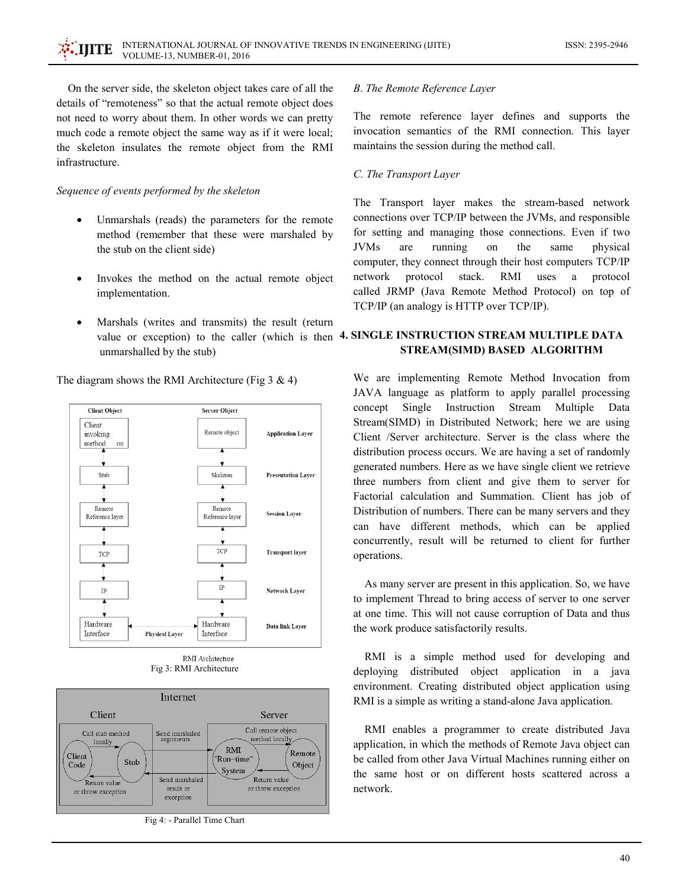On the server side, the skeleton object takes care of all the details of "remoteness" so that the actual remote object does not need to worry about them. In other words we can pretty much code a remote object the same way as if it were local; the skeleton insulates the remote object from the RMI infrastructure.

# Sequence of events performed by the skeleton

- Unmarshals (reads) the parameters for the remote  $\bullet$ method (remember that these were marshaled by the stub on the client side)
- Invokes the method on the actual remote object  $\bullet$ implementation.
- Marshals (writes and transmits) the result (return value or exception) to the caller (which is then 4. SINGLE INSTRUCTION STREAM MULTIPLE DATA unmarshalled by the stub)

The diagram shows the RMI Architecture (Fig  $3 \& 4$ )



RMI Architecture Fig 3: RMI Architecture



Fig 4: - Parallel Time Chart

# **B.** The Remote Reference Laver

The remote reference layer defines and supports the invocation semantics of the RMI connection. This layer maintains the session during the method call.

#### C. The Transport Layer

The Transport layer makes the stream-based network connections over TCP/IP between the JVMs, and responsible for setting and managing those connections. Even if two are **JVMs** running on the same physical computer, they connect through their host computers TCP/IP network protocol stack. RMI uses  $\rm{a}$ protocol called JRMP (Java Remote Method Protocol) on top of TCP/IP (an analogy is HTTP over TCP/IP).

# **STREAM(SIMD) BASED ALGORITHM**

We are implementing Remote Method Invocation from JAVA language as platform to apply parallel processing Single Instruction Stream Multiple concept Data Stream(SIMD) in Distributed Network; here we are using Client /Server architecture. Server is the class where the distribution process occurs. We are having a set of randomly generated numbers. Here as we have single client we retrieve three numbers from client and give them to server for Factorial calculation and Summation. Client has job of Distribution of numbers. There can be many servers and they can have different methods, which can be applied concurrently, result will be returned to client for further operations.

As many server are present in this application. So, we have to implement Thread to bring access of server to one server at one time. This will not cause corruption of Data and thus the work produce satisfactorily results.

RMI is a simple method used for developing and deploying distributed object application in a java environment. Creating distributed object application using RMI is a simple as writing a stand-alone Java application.

RMI enables a programmer to create distributed Java application, in which the methods of Remote Java object can be called from other Java Virtual Machines running either on the same host or on different hosts scattered across a network.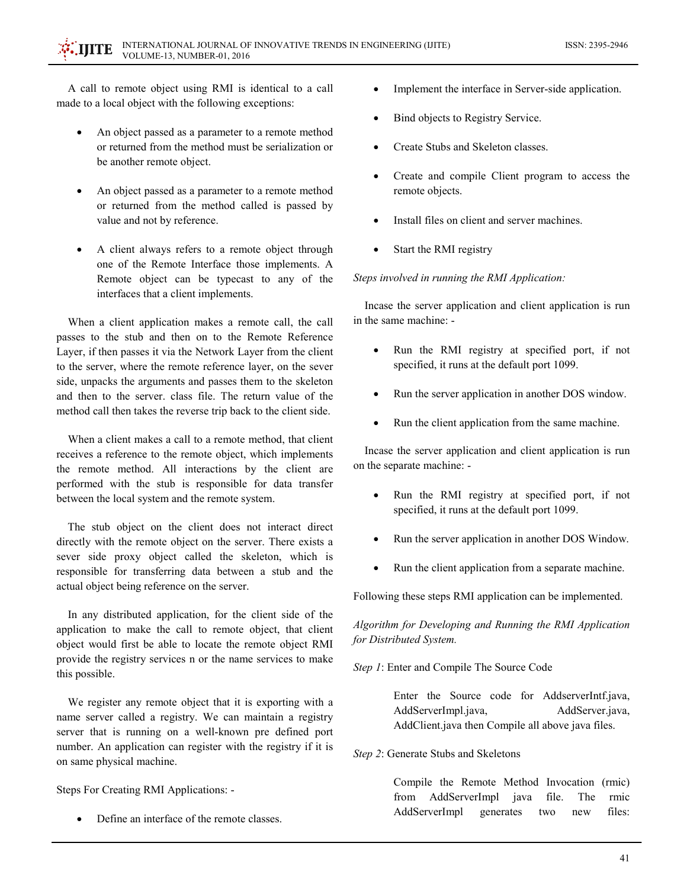A call to remote object using RMI is identical to a call made to a local object with the following exceptions:

- An object passed as a parameter to a remote method  $\bullet$ or returned from the method must be serialization or be another remote object.
- An object passed as a parameter to a remote method or returned from the method called is passed by value and not by reference.
- A client always refers to a remote object through one of the Remote Interface those implements. A Remote object can be typecast to any of the interfaces that a client implements.

When a client application makes a remote call, the call passes to the stub and then on to the Remote Reference Layer, if then passes it via the Network Layer from the client to the server, where the remote reference layer, on the sever side, unpacks the arguments and passes them to the skeleton and then to the server, class file. The return value of the method call then takes the reverse trip back to the client side.

When a client makes a call to a remote method, that client receives a reference to the remote object, which implements the remote method. All interactions by the client are performed with the stub is responsible for data transfer between the local system and the remote system.

The stub object on the client does not interact direct directly with the remote object on the server. There exists a sever side proxy object called the skeleton, which is responsible for transferring data between a stub and the actual object being reference on the server.

In any distributed application, for the client side of the application to make the call to remote object, that client object would first be able to locate the remote object RMI provide the registry services n or the name services to make this possible.

We register any remote object that it is exporting with a name server called a registry. We can maintain a registry server that is running on a well-known pre defined port number. An application can register with the registry if it is on same physical machine.

Steps For Creating RMI Applications: -

 $\bullet$ Define an interface of the remote classes.

- Implement the interface in Server-side application.
- Bind objects to Registry Service.
- Create Stubs and Skeleton classes.
- Create and compile Client program to access the  $\bullet$ remote objects.
- Install files on client and server machines
- Start the RMI registry  $\bullet$

#### Steps involved in running the RMI Application:

Incase the server application and client application is run in the same machine: -

- Run the RMI registry at specified port, if not specified, it runs at the default port 1099.
- Run the server application in another DOS window.
- Run the client application from the same machine.

In the server application and client application is run on the separate machine: -

- Run the RMI registry at specified port, if not specified, it runs at the default port 1099.
- Run the server application in another DOS Window.
- Run the client application from a separate machine.

Following these steps RMI application can be implemented.

Algorithm for Developing and Running the RMI Application for Distributed System.

Step 1: Enter and Compile The Source Code

Enter the Source code for AddserverIntf.java, AddServerImpl.java, AddServer.java. AddClient.java then Compile all above java files.

Step 2: Generate Stubs and Skeletons

Compile the Remote Method Invocation (rmic) from AddServerImpl java file. The rmic generates AddServerImpl two new files: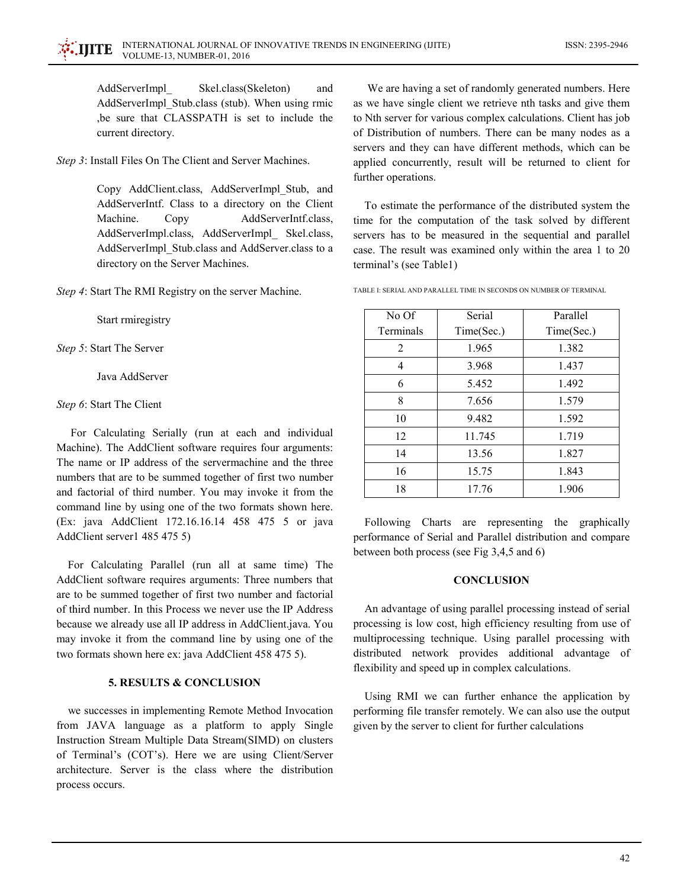AddServerImpl Skel.class(Skeleton) and AddServerImpl Stub.class (stub). When using rmic ,be sure that CLASSPATH is set to include the current directory.

# Step 3: Install Files On The Client and Server Machines.

Copy AddClient.class, AddServerImpl Stub, and AddServerIntf. Class to a directory on the Client Machine. Copy AddServerIntf.class. AddServerImpl.class, AddServerImpl Skel.class, AddServerImpl Stub.class and AddServer.class to a directory on the Server Machines.

Step 4: Start The RMI Registry on the server Machine.

Start rmiregistry

Step 5: Start The Server

Java AddServer

# Step 6: Start The Client

For Calculating Serially (run at each and individual Machine). The AddClient software requires four arguments: The name or IP address of the servermachine and the three numbers that are to be summed together of first two number and factorial of third number. You may invoke it from the command line by using one of the two formats shown here. (Ex: java AddClient 172.16.16.14 458 475 5 or java AddClient server1 485 475 5)

For Calculating Parallel (run all at same time) The AddClient software requires arguments: Three numbers that are to be summed together of first two number and factorial of third number. In this Process we never use the IP Address because we already use all IP address in AddClient.java. You may invoke it from the command line by using one of the two formats shown here ex: java AddClient 458 475 5).

# **5. RESULTS & CONCLUSION**

we successes in implementing Remote Method Invocation from JAVA language as a platform to apply Single Instruction Stream Multiple Data Stream(SIMD) on clusters of Terminal's (COT's). Here we are using Client/Server architecture. Server is the class where the distribution process occurs.

We are having a set of randomly generated numbers. Here as we have single client we retrieve nth tasks and give them to Nth server for various complex calculations. Client has job of Distribution of numbers. There can be many nodes as a servers and they can have different methods, which can be applied concurrently, result will be returned to client for further operations.

To estimate the performance of the distributed system the time for the computation of the task solved by different servers has to be measured in the sequential and parallel case. The result was examined only within the area 1 to 20 terminal's (see Table1)

| No Of     | Serial     | Parallel   |  |
|-----------|------------|------------|--|
| Terminals | Time(Sec.) | Time(Sec.) |  |
|           | 1.965      | 1.382      |  |
|           | 3.968      | 1.437      |  |
|           | 5.452      |            |  |

7.656

9.482

11.745

13.56

15.75

17.76

1.579

1.592

1.719

1.827

1.843

1.906

8

 $10$ 

 $12$ 

14

16

18

TABLE I: SERIAL AND PARALLEL TIME IN SECONDS ON NUMBER OF TERMINAL

Following Charts are representing the graphically performance of Serial and Parallel distribution and compare between both process (see Fig 3,4,5 and 6)

# **CONCLUSION**

An advantage of using parallel processing instead of serial processing is low cost, high efficiency resulting from use of multiprocessing technique. Using parallel processing with distributed network provides additional advantage of flexibility and speed up in complex calculations.

Using RMI we can further enhance the application by performing file transfer remotely. We can also use the output given by the server to client for further calculations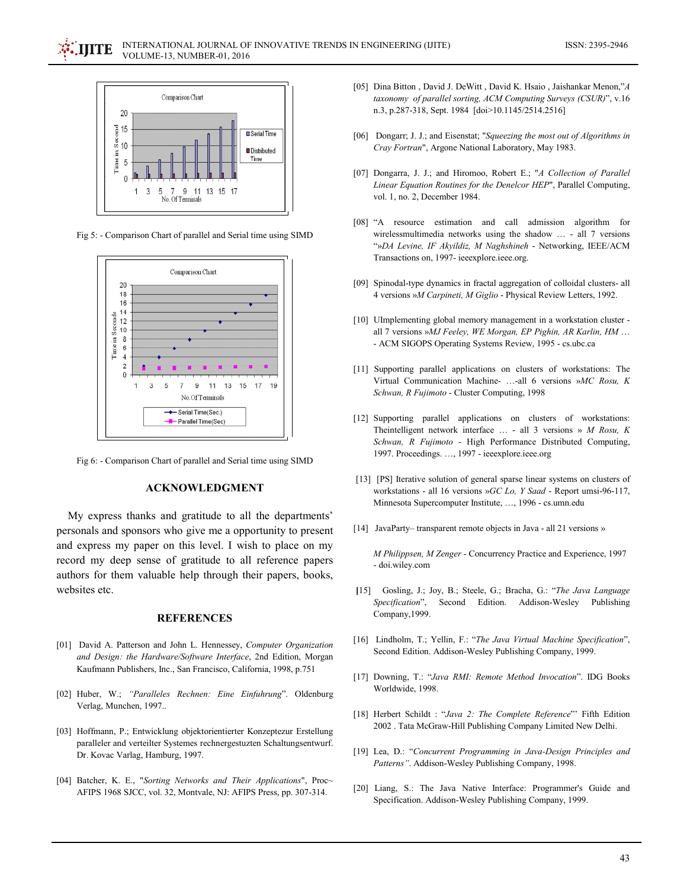

Fig 5: - Comparison Chart of parallel and Serial time using SIMD



Fig 6: - Comparison Chart of parallel and Serial time using SIMD

#### **ACKNOWLEDGMENT**

My express thanks and gratitude to all the departments' personals and sponsors who give me a opportunity to present and express my paper on this level. I wish to place on my record my deep sense of gratitude to all reference papers authors for them valuable help through their papers, books, websites etc.

#### **REFERENCES**

- [01] David A. Patterson and John L. Hennessey, Computer Organization and Design: the Hardware/Software Interface, 2nd Edition, Morgan Kaufmann Publishers, Inc., San Francisco, California, 1998, p.751
- [02] Huber, W.; "Paralleles Rechnen: Eine Einfuhrung". Oldenburg Verlag, Munchen, 1997...
- [03] Hoffmann, P.; Entwicklung objektorientierter Konzeptezur Erstellung paralleler and verteilter Systemes rechnergestuzten Schaltungsentwurf. Dr. Kovac Varlag, Hamburg, 1997.
- [04] Batcher, K. E., "Sorting Networks and Their Applications", Proc-AFIPS 1968 SJCC, vol. 32, Montvale, NJ: AFIPS Press, pp. 307-314.
- [05] Dina Bitton, David J. DeWitt, David K. Hsaio, Jaishankar Menon,"A taxonomy of parallel sorting, ACM Computing Surveys (CSUR)", v.16 n.3, p.287-318, Sept. 1984 [doi>10.1145/2514.2516]
- [06] Dongarr; J. J.; and Eisenstat; "Squeezing the most out of Algorithms in Cray Fortran", Argone National Laboratory, May 1983.
- [07] Dongarra, J. J.; and Hiromoo, Robert E.; "A Collection of Parallel Linear Equation Routines for the Denelcor HEP", Parallel Computing, vol. 1, no. 2, December 1984.
- [08] "A resource estimation and call admission algorithm for wirelessmultimedia networks using the shadow ... - all 7 versions "»DA Levine, IF Akyildiz, M Naghshineh - Networking, IEEE/ACM Transactions on, 1997-ieeexplore.ieee.org.
- [09] Spinodal-type dynamics in fractal aggregation of colloidal clusters- all 4 versions »M Carpineti, M Giglio - Physical Review Letters, 1992.
- [10] UImplementing global memory management in a workstation cluster all 7 versions »MJ Feeley, WE Morgan, EP Pighin, AR Karlin, HM ... - ACM SIGOPS Operating Systems Review, 1995 - cs.ubc.ca
- [11] Supporting parallel applications on clusters of workstations: The Virtual Communication Machine- ...-all 6 versions »MC Rosu, K Schwan, R Fujimoto - Cluster Computing, 1998
- [12] Supporting parallel applications on clusters of workstations: The<br>intelligent network interface  $\dots$  - all 3 versions » M Rosu, K Schwan, R Fujimoto - High Performance Distributed Computing, 1997. Proceedings. ..., 1997 - ieeexplore.ieee.org
- [13] [PS] Iterative solution of general sparse linear systems on clusters of workstations - all 16 versions »GC Lo, Y Saad - Report umsi-96-117, Minnesota Supercomputer Institute, ..., 1996 - cs.umn.edu
- [14] JavaParty-transparent remote objects in Java all 21 versions »

M Philippsen, M Zenger - Concurrency Practice and Experience, 1997 - doi.wiley.com

- [15] Gosling, J.; Joy, B.; Steele, G.; Bracha, G.: "The Java Language Specification", Second Edition. Addison-Wesley Publishing Company, 1999.
- [16] Lindholm, T.; Yellin, F.: "The Java Virtual Machine Specification", Second Edition. Addison-Wesley Publishing Company, 1999.
- [17] Downing, T.: "Java RMI: Remote Method Invocation". IDG Books Worldwide, 1998.
- [18] Herbert Schildt : "Java 2: The Complete Reference" Fifth Edition 2002. Tata McGraw-Hill Publishing Company Limited New Delhi.
- [19] Lea, D.: "Concurrent Programming in Java-Design Principles and Patterns". Addison-Wesley Publishing Company, 1998.
- [20] Liang, S.: The Java Native Interface: Programmer's Guide and Specification. Addison-Wesley Publishing Company, 1999.

43